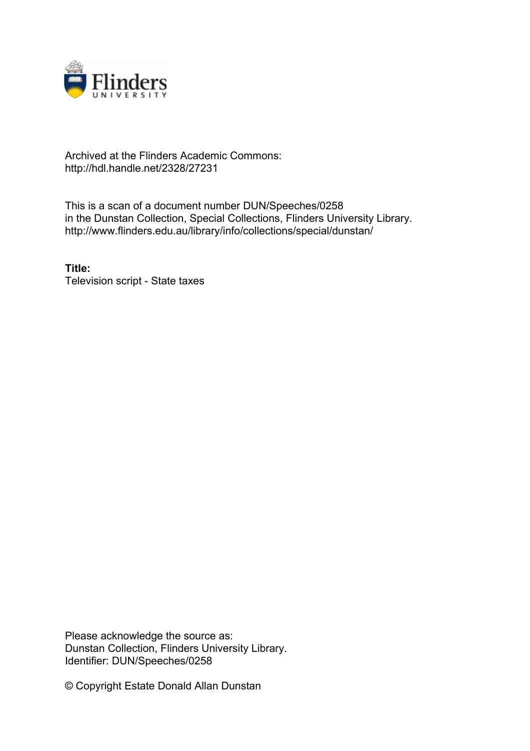

## Archived at the Flinders Academic Commons: http://hdl.handle.net/2328/27231

This is a scan of a document number DUN/Speeches/0258 in the Dunstan Collection, Special Collections, Flinders University Library. http://www.flinders.edu.au/library/info/collections/special/dunstan/

**Title:** Television script - State taxes

Please acknowledge the source as: Dunstan Collection, Flinders University Library. Identifier: DUN/Speeches/0258

© Copyright Estate Donald Allan Dunstan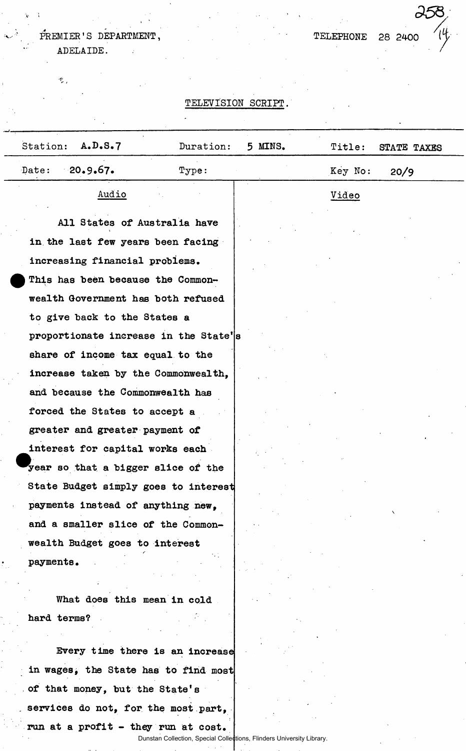#### **PREMIER'S DEPARTMENT, ADELAIDE.**   $\ddot{\cdot}$

 $\Phi_{\alpha}$ 

**TELEPHONE 28 2400** 

**V**  $\mathbf{A}$  **. A**  $\mathbf{O}$  ,  $\mathbf{O}$  ,  $\mathbf{O}$  ,  $\mathbf{O}$  ,  $\mathbf{O}$  ,  $\mathbf{O}$  ,  $\mathbf{O}$  ,  $\mathbf{O}$  ,  $\mathbf{O}$  ,  $\mathbf{O}$  ,  $\mathbf{O}$  ,  $\mathbf{O}$  ,  $\mathbf{O}$  ,  $\mathbf{O}$  ,  $\mathbf{O}$  ,  $\mathbf{O}$  ,  $\mathbf{O}$  ,  $\mathbf{O}$  ,  $\mathbf{$ 

## **TELEVISION SCRIPT.**

| Station:<br>A.D.S.7                   | Duration: | 5 MINS. | Title:  | STATE TAXES |
|---------------------------------------|-----------|---------|---------|-------------|
| $-20.9.67$<br>Date:                   | Type:     |         | Key No: | 20/9        |
| Audio                                 |           |         | Video   |             |
| All States of Australia have          |           |         |         |             |
| in the last few years been facing     |           |         |         |             |
| increasing financial problems.        |           |         |         |             |
| This has been because the Common-     |           |         |         |             |
| wealth Government has both refused    |           |         |         |             |
| to give back to the States a          |           |         |         |             |
| proportionate increase in the State's |           |         |         |             |
| share of income tax equal to the      |           |         |         |             |
| increase taken by the Commonwealth,   |           |         |         |             |
| and because the Commonwealth has      |           |         |         |             |
| forced the States to accept a         |           |         |         |             |
| greater and greater payment of        |           |         |         |             |
| interest for capital works each       |           |         |         |             |
| year so that a bigger slice of the    |           |         |         |             |
| State Budget simply goes to interest  |           |         |         |             |
| payments instead of anything new,     |           |         |         |             |
| and a smaller slice of the Common-    |           |         |         |             |
| wealth Budget goes to interest        |           |         |         |             |
| payments.                             |           |         |         |             |
| What does this mean in cold.          |           |         |         |             |
| hard terms?                           |           |         |         |             |
|                                       |           |         |         |             |
| Every time there is an increase       |           |         |         |             |
| in wages, the State has to find most  |           |         |         |             |
| of that money, but the State's        |           |         |         |             |
| services do not, for the most part,   |           |         |         |             |

**run at a profit - they run at cost.**  Dunstan Collection, Special Collections, Flinders University Library.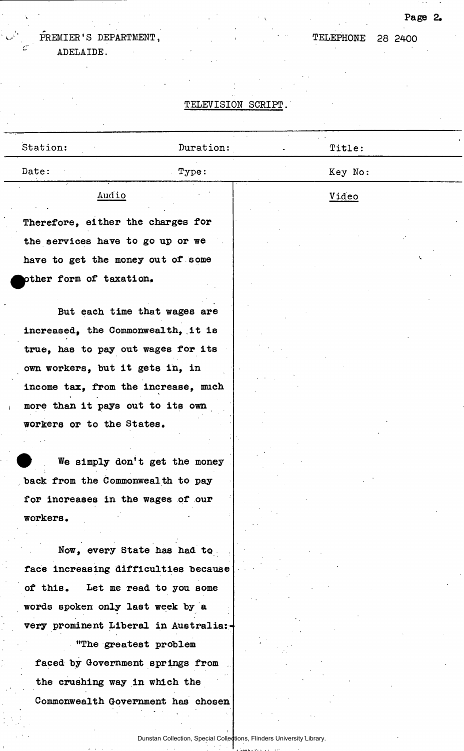# **V <sup>4</sup> PREMIER'S ' DEPARTMENT,**

**ADELAIDE.** 

# **TELEVISION SCRIPT.**

| Station:                              | Duration:                     | Title:       |
|---------------------------------------|-------------------------------|--------------|
| Date:                                 | Type:                         | Key No:      |
| Audio                                 |                               | <u>Video</u> |
| Therefore, either the charges for     |                               |              |
| the services have to go up or we      |                               |              |
| have to get the money out of some     |                               |              |
| pther form of taxation.               |                               |              |
| But each time that wages are          |                               |              |
| increased, the Commonwealth, it is    |                               |              |
| true, has to pay out wages for its    |                               |              |
| own workers, but it gets in, in       |                               |              |
| income tax, from the increase, much   |                               |              |
| more than it pays out to its own      |                               |              |
| workers or to the States.             |                               |              |
|                                       |                               |              |
|                                       | We simply don't get the money |              |
| back from the Commonweal th to pay    |                               |              |
| for increases in the wages of our     |                               |              |
| workers.                              |                               |              |
| Now, every State has had to           |                               |              |
| face increasing difficulties because  |                               |              |
| of this.                              | Let me read to you some       |              |
| words spoken only last week by a      |                               |              |
| very prominent Liberal in Australia:- |                               |              |
| "The greatest problem                 |                               |              |
| faced by Government springs from      |                               |              |
| the crushing way in which the         |                               |              |
| Commonwealth Government has chosen    |                               |              |
|                                       |                               |              |

# **Page 2.**

**TELEPHONE 28 2400**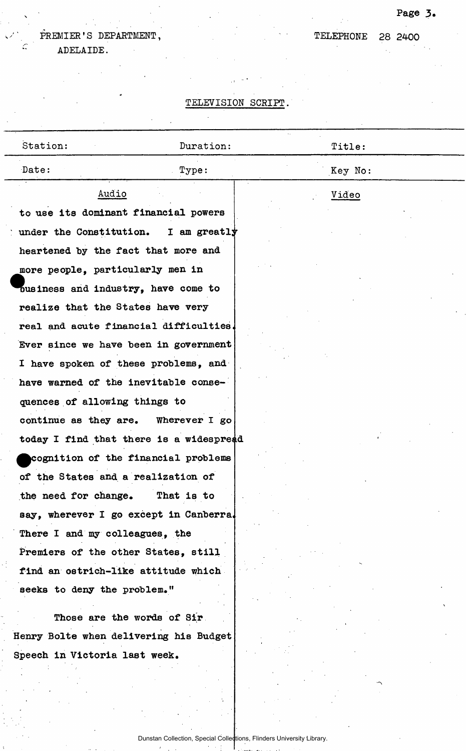# \ **Page 3.**

**PREMIER'S DEPARTMENT, <sup>C</sup> ADELAIDE.** 

**'**

# **TELEPHONE 28 2400**

# **TELEVISION SCRIPT.**

| Station:                      | Duration:                               | Title:  |  |
|-------------------------------|-----------------------------------------|---------|--|
| Date:                         | Type:                                   | Key No: |  |
|                               | Audio                                   | Video   |  |
|                               | to use its dominant financial powers    |         |  |
|                               | under the Constitution. I am greatly    |         |  |
|                               | heartened by the fact that more and     |         |  |
|                               | more people, particularly men in        |         |  |
|                               | business and industry, have come to     |         |  |
|                               | realize that the States have very       |         |  |
|                               | real and acute financial difficulties.  |         |  |
|                               | Ever since we have been in government   |         |  |
|                               | I have spoken of these problems, and    |         |  |
|                               | have warned of the inevitable conse-    |         |  |
| quences of allowing things to |                                         |         |  |
|                               | continue as they are. Wherever I go     |         |  |
|                               | today I find that there is a widespread |         |  |
|                               | cognition of the financial problems     |         |  |
|                               | of the States and a realization of      |         |  |
| the need for change.          | That is to                              |         |  |
|                               | say, wherever I go except in Canberra.  |         |  |
|                               | There I and my colleagues, the          |         |  |
|                               | Premiers of the other States, still     |         |  |
|                               | find an ostrich-like attitude which     |         |  |
| seeks to deny the problem."   |                                         |         |  |
|                               | Those are the words of Sir              |         |  |
|                               | Henry Bolte when delivering his Budget  |         |  |
| Speech in Victoria last week. |                                         |         |  |
|                               |                                         |         |  |
|                               |                                         |         |  |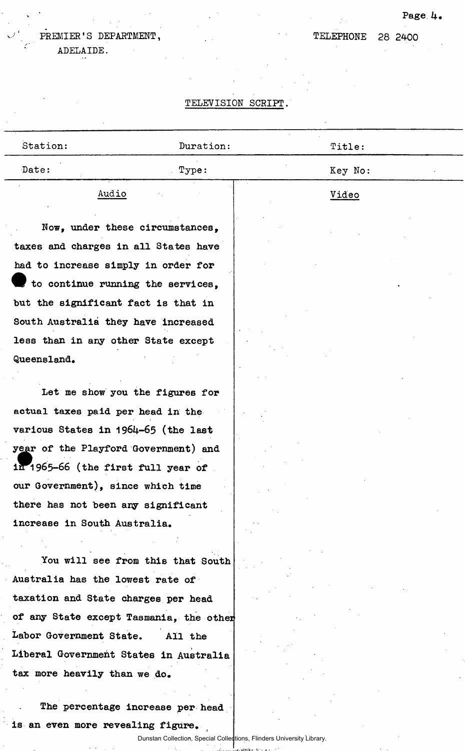## Page 4.

**28 2400** 

**TELEPHONE** 

**s** *f* **' PREMIER'S DEPARTMENT,** 

**ADELAIDE.** 

## **TELEVISION SCRIPT,**

| Station:                                                                    | Duration:                         | Title:       |
|-----------------------------------------------------------------------------|-----------------------------------|--------------|
| Date:                                                                       | Type:                             | Key No:      |
| Audio                                                                       |                                   | <u>Video</u> |
| Now, under these circumstances,                                             |                                   |              |
| taxes and charges in all States have<br>had to increase simply in order for |                                   |              |
| to continue running the services,                                           |                                   |              |
| but the significant fact is that in                                         |                                   |              |
| South Australia they have increased                                         |                                   |              |
| less than in any other State except                                         |                                   |              |
| Queensland.                                                                 |                                   |              |
| Let me show you the figures for                                             |                                   |              |
| actual taxes paid per head in the                                           |                                   |              |
| various States in 1964-65 (the last                                         |                                   |              |
| year of the Playford Government) and                                        |                                   |              |
| in 1965-66 (the first full year of                                          |                                   |              |
| our Government), since which time                                           |                                   |              |
| there has not been any significant                                          |                                   |              |
| increase in South Australia.                                                |                                   |              |
|                                                                             |                                   |              |
| Australia has the lowest rate of                                            | You will see from this that South |              |
| taxation and State charges per head                                         |                                   |              |
|                                                                             |                                   |              |
| of any State except Tasmania, the other<br>Labor Government State.          | All the                           |              |
| Liberal Government States in Australia                                      |                                   |              |
| tax more heavily than we do.                                                |                                   |              |
|                                                                             |                                   |              |

**The percentage increase per head is an even more revealing figure.** 

 $\gamma_{\rm g}$ 

Dunstan Collection, Special Collections, Flinders University Library. Comba en 20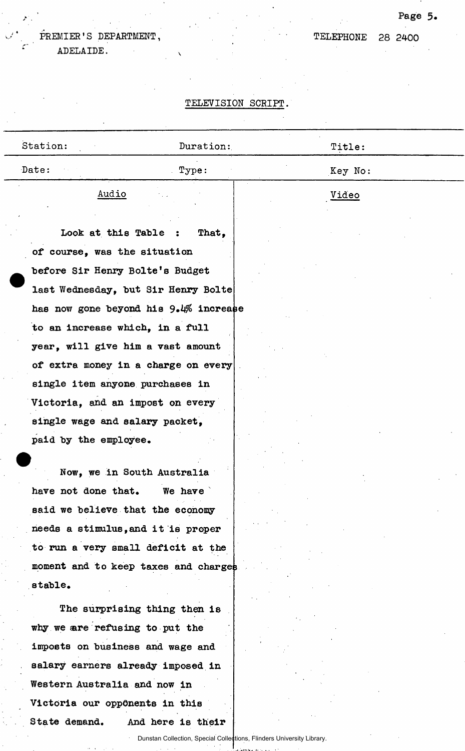## **s** *f* **' PREMIER'S DEPARTMENT, ADELAIDE.**

**TELEPHONE** 

## **Page 5**

#### **28 2400**

#### **TELEVISION SCRIPT,**

| Station:                            | Duration:                             | Title:  |  |
|-------------------------------------|---------------------------------------|---------|--|
| Date:                               | Type:                                 | Key No: |  |
| Audio                               |                                       | Video   |  |
| Look at this Table :                | That,                                 |         |  |
| of course, was the situation        |                                       |         |  |
| before Sir Henry Bolte's Budget     |                                       |         |  |
| last Wednesday, but Sir Henry Bolte |                                       |         |  |
|                                     | has now gone beyond his 9.4% increase |         |  |
| to an increase which, in a full     |                                       |         |  |
| year, will give him a vast amount   |                                       |         |  |
| of extra money in a charge on every |                                       |         |  |
| single item anyone purchases in     |                                       |         |  |
| Victoria, and an impost on every    |                                       |         |  |
| single wage and salary packet,      |                                       |         |  |
| paid by the employee.               |                                       |         |  |
|                                     |                                       |         |  |
| Now, we in South Australia          |                                       |         |  |
| have not done that.                 | We have                               |         |  |
| said we believe that the economy    |                                       |         |  |
| needs a stimulus, and it is proper  |                                       |         |  |
| to run a very small deficit at the  |                                       |         |  |
|                                     | moment and to keep taxes and charges  |         |  |
| stable.                             |                                       |         |  |
|                                     | The surprising thing then is          |         |  |
| why we are refusing to put the      |                                       |         |  |

**imposts on business and wage and salary earners already imposed in Western Australia and now in Victoria our opponents in this State demand. And here is their** 

Dunstan Collection, Special Collections, Flinders University Library.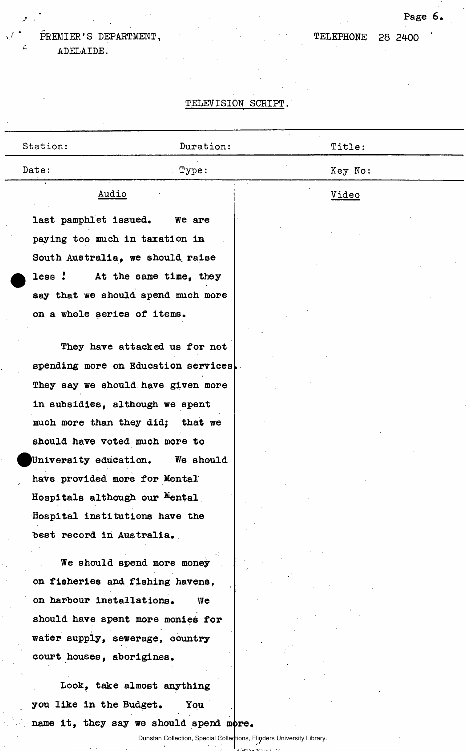## **s** *f* **' PREMIER'S DEPARTMENT, ADELAIDE.**

**TELEPHONE** 

# **Page 6.**

## **28 2400 '**

# **TELEVISION SCRIPT,**

|       | Station:                       | Duration:                        | Title:  |  |  |
|-------|--------------------------------|----------------------------------|---------|--|--|
| Date: |                                | Type:                            | Key No: |  |  |
|       | $\sim$<br>$\cdot$<br>Audio     |                                  | Video   |  |  |
|       | last pamphlet issued.          | We are                           |         |  |  |
|       | paying too much in taxation in |                                  |         |  |  |
|       |                                | South Australia, we should raise |         |  |  |
|       | less :                         | At the same time, they           |         |  |  |

**on a whole series of items.** 

**say that we should spend much more** 

**They have attacked us for not**  spending more on Education services **They say we should have given more in subsidies, although we spent much more than they did; that we should have voted much more to ^University education. We should have provided more for Mental Hospitals although our <sup>M</sup>ental Hospital institutions have the best record in Australia.** 

**We should spend more money on fisheries and fishing havens, on harbour installations. We should have spent more monies for water supply, sewerage, country court houses, aborigines.** 

**Look, take almost anything you like in the Budget. You**  name it, they say we should spend more.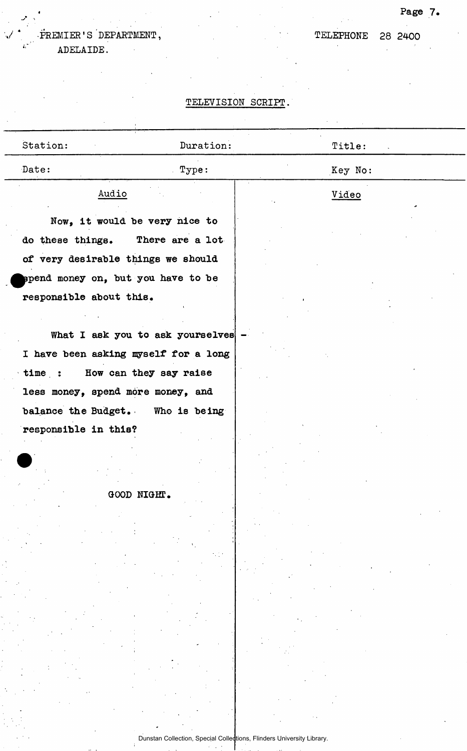# **<sup>4</sup> PREMIER'S ' DEPARTMENT,**

**ADELAIDE.** 

 $\cdot$ 

## **TELEVISION SCRIPT.**

| Station:                           | Duration:                            | Title:  |
|------------------------------------|--------------------------------------|---------|
| Date:                              | Type:                                | Key No: |
| Audio                              |                                      | Video   |
|                                    | Now, it would be very nice to        |         |
| do these things. There are a lot   |                                      |         |
| of very desirable things we should |                                      |         |
| spend money on, but you have to be |                                      |         |
| responsible about this.            |                                      |         |
|                                    |                                      |         |
|                                    |                                      |         |
|                                    | What I ask you to ask yourselves     |         |
|                                    | I have been asking myself for a long |         |
| time :                             | How can they say raise               |         |
| less money, spend more money, and  |                                      |         |
|                                    | balance the Budget. Who is being     |         |
| responsible in this?               |                                      |         |
|                                    |                                      |         |
|                                    |                                      |         |
|                                    | GOOD NIGHT.                          |         |
|                                    |                                      |         |
|                                    |                                      |         |
|                                    |                                      |         |
|                                    |                                      |         |
|                                    |                                      |         |
|                                    |                                      |         |
|                                    |                                      |         |
|                                    |                                      |         |
|                                    |                                      |         |
|                                    |                                      |         |
|                                    |                                      |         |
|                                    |                                      |         |
|                                    |                                      |         |

Dunstan Collection, Special Collections, Flinders University Library.

**Page 7.** 

**TELEPHONE 28 2400**